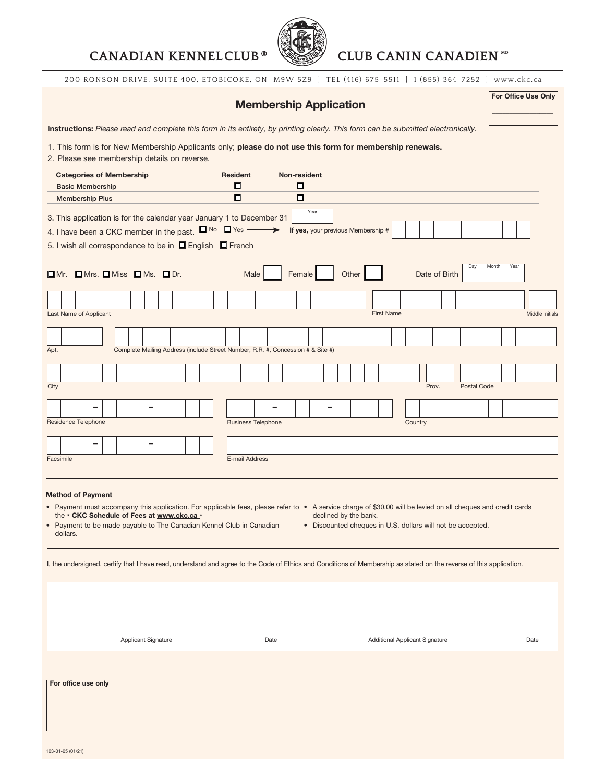# CANADIAN KENNELCLUB<sup>®</sup> **CLUB CANIN CANADIEN**<sup>™</sup>



200 RONSON DRIVE, SUITE 400, ETOBICOKE, ON M9W 5Z9 | TEL (416) 675-5511 | 1 (855) 364-7252 | www.ckc.ca

|                                                                                                                                          | <b>Membership Application</b>                                                                                                                                                                                                                                                                                              |  |  |  |  |  |                     |  |  |                                                                                 |                      |               |  |  |  | For Office Use Only |        |                           |                                            |  |  |  |                                                                                     |  |  |  |                                       |  |  |         |  |       |  |               |  |                    |  |  |  |      |                 |  |
|------------------------------------------------------------------------------------------------------------------------------------------|----------------------------------------------------------------------------------------------------------------------------------------------------------------------------------------------------------------------------------------------------------------------------------------------------------------------------|--|--|--|--|--|---------------------|--|--|---------------------------------------------------------------------------------|----------------------|---------------|--|--|--|---------------------|--------|---------------------------|--------------------------------------------|--|--|--|-------------------------------------------------------------------------------------|--|--|--|---------------------------------------|--|--|---------|--|-------|--|---------------|--|--------------------|--|--|--|------|-----------------|--|
| Instructions: Please read and complete this form in its entirety, by printing clearly. This form can be submitted electronically.        |                                                                                                                                                                                                                                                                                                                            |  |  |  |  |  |                     |  |  |                                                                                 |                      |               |  |  |  |                     |        |                           |                                            |  |  |  |                                                                                     |  |  |  |                                       |  |  |         |  |       |  |               |  |                    |  |  |  |      |                 |  |
|                                                                                                                                          | 1. This form is for New Membership Applicants only; please do not use this form for membership renewals.<br>2. Please see membership details on reverse.                                                                                                                                                                   |  |  |  |  |  |                     |  |  |                                                                                 |                      |               |  |  |  |                     |        |                           |                                            |  |  |  |                                                                                     |  |  |  |                                       |  |  |         |  |       |  |               |  |                    |  |  |  |      |                 |  |
| <b>Categories of Membership</b><br><b>Basic Membership</b>                                                                               |                                                                                                                                                                                                                                                                                                                            |  |  |  |  |  |                     |  |  |                                                                                 | <b>Resident</b><br>◻ |               |  |  |  | Non-resident<br>◻   |        |                           |                                            |  |  |  |                                                                                     |  |  |  |                                       |  |  |         |  |       |  |               |  |                    |  |  |  |      |                 |  |
| <b>Membership Plus</b>                                                                                                                   |                                                                                                                                                                                                                                                                                                                            |  |  |  |  |  |                     |  |  |                                                                                 | $\Box$               |               |  |  |  |                     | $\Box$ |                           |                                            |  |  |  |                                                                                     |  |  |  |                                       |  |  |         |  |       |  |               |  |                    |  |  |  |      |                 |  |
| 3. This application is for the calendar year January 1 to December 31<br>4. I have been a CKC member in the past. $\Box$ No $\Box$ Yes - |                                                                                                                                                                                                                                                                                                                            |  |  |  |  |  |                     |  |  |                                                                                 |                      | $\rightarrow$ |  |  |  |                     |        |                           | Year<br>If yes, your previous Membership # |  |  |  |                                                                                     |  |  |  |                                       |  |  |         |  |       |  |               |  |                    |  |  |  |      |                 |  |
|                                                                                                                                          | 5. I wish all correspondence to be in <b>D</b> English <b>D</b> French                                                                                                                                                                                                                                                     |  |  |  |  |  |                     |  |  |                                                                                 |                      |               |  |  |  |                     |        |                           |                                            |  |  |  |                                                                                     |  |  |  |                                       |  |  |         |  |       |  |               |  |                    |  |  |  |      |                 |  |
| $\Box$ Mr. $\Box$ Mrs. $\Box$ Miss $\Box$ Ms. $\Box$ Dr.                                                                                 |                                                                                                                                                                                                                                                                                                                            |  |  |  |  |  |                     |  |  |                                                                                 |                      | Male          |  |  |  |                     |        | Female                    |                                            |  |  |  | Day<br>Other<br>Date of Birth                                                       |  |  |  |                                       |  |  |         |  |       |  | Month<br>Year |  |                    |  |  |  |      |                 |  |
|                                                                                                                                          |                                                                                                                                                                                                                                                                                                                            |  |  |  |  |  |                     |  |  |                                                                                 |                      |               |  |  |  |                     |        |                           |                                            |  |  |  |                                                                                     |  |  |  |                                       |  |  |         |  |       |  |               |  |                    |  |  |  |      |                 |  |
|                                                                                                                                          | Last Name of Applicant                                                                                                                                                                                                                                                                                                     |  |  |  |  |  |                     |  |  |                                                                                 |                      |               |  |  |  |                     |        |                           |                                            |  |  |  |                                                                                     |  |  |  | <b>First Name</b>                     |  |  |         |  |       |  |               |  |                    |  |  |  |      | Middle Initials |  |
|                                                                                                                                          |                                                                                                                                                                                                                                                                                                                            |  |  |  |  |  |                     |  |  |                                                                                 |                      |               |  |  |  |                     |        |                           |                                            |  |  |  |                                                                                     |  |  |  |                                       |  |  |         |  |       |  |               |  |                    |  |  |  |      |                 |  |
| Apt.                                                                                                                                     |                                                                                                                                                                                                                                                                                                                            |  |  |  |  |  |                     |  |  | Complete Mailing Address (include Street Number, R.R. #, Concession # & Site #) |                      |               |  |  |  |                     |        |                           |                                            |  |  |  |                                                                                     |  |  |  |                                       |  |  |         |  |       |  |               |  |                    |  |  |  |      |                 |  |
|                                                                                                                                          |                                                                                                                                                                                                                                                                                                                            |  |  |  |  |  |                     |  |  |                                                                                 |                      |               |  |  |  |                     |        |                           |                                            |  |  |  |                                                                                     |  |  |  |                                       |  |  |         |  |       |  |               |  |                    |  |  |  |      |                 |  |
| City                                                                                                                                     |                                                                                                                                                                                                                                                                                                                            |  |  |  |  |  |                     |  |  |                                                                                 |                      |               |  |  |  |                     |        |                           |                                            |  |  |  |                                                                                     |  |  |  |                                       |  |  |         |  | Prov. |  |               |  | <b>Postal Code</b> |  |  |  |      |                 |  |
|                                                                                                                                          |                                                                                                                                                                                                                                                                                                                            |  |  |  |  |  |                     |  |  |                                                                                 |                      |               |  |  |  |                     |        |                           |                                            |  |  |  |                                                                                     |  |  |  |                                       |  |  |         |  |       |  |               |  |                    |  |  |  |      |                 |  |
|                                                                                                                                          | Residence Telephone                                                                                                                                                                                                                                                                                                        |  |  |  |  |  |                     |  |  |                                                                                 |                      |               |  |  |  |                     |        | <b>Business Telephone</b> |                                            |  |  |  |                                                                                     |  |  |  |                                       |  |  | Country |  |       |  |               |  |                    |  |  |  |      |                 |  |
|                                                                                                                                          |                                                                                                                                                                                                                                                                                                                            |  |  |  |  |  |                     |  |  |                                                                                 |                      |               |  |  |  |                     |        |                           |                                            |  |  |  |                                                                                     |  |  |  |                                       |  |  |         |  |       |  |               |  |                    |  |  |  |      |                 |  |
| E-mail Address<br>Facsimile                                                                                                              |                                                                                                                                                                                                                                                                                                                            |  |  |  |  |  |                     |  |  |                                                                                 |                      |               |  |  |  |                     |        |                           |                                            |  |  |  |                                                                                     |  |  |  |                                       |  |  |         |  |       |  |               |  |                    |  |  |  |      |                 |  |
|                                                                                                                                          |                                                                                                                                                                                                                                                                                                                            |  |  |  |  |  |                     |  |  |                                                                                 |                      |               |  |  |  |                     |        |                           |                                            |  |  |  |                                                                                     |  |  |  |                                       |  |  |         |  |       |  |               |  |                    |  |  |  |      |                 |  |
|                                                                                                                                          | <b>Method of Payment</b><br>• Payment must accompany this application. For applicable fees, please refer to • A service charge of \$30.00 will be levied on all cheques and credit cards<br>the * CKC Schedule of Fees at www.ckc.ca *<br>• Payment to be made payable to The Canadian Kennel Club in Canadian<br>dollars. |  |  |  |  |  |                     |  |  |                                                                                 |                      |               |  |  |  |                     |        |                           |                                            |  |  |  | declined by the bank.<br>• Discounted cheques in U.S. dollars will not be accepted. |  |  |  |                                       |  |  |         |  |       |  |               |  |                    |  |  |  |      |                 |  |
|                                                                                                                                          | I, the undersigned, certify that I have read, understand and agree to the Code of Ethics and Conditions of Membership as stated on the reverse of this application.                                                                                                                                                        |  |  |  |  |  |                     |  |  |                                                                                 |                      |               |  |  |  |                     |        |                           |                                            |  |  |  |                                                                                     |  |  |  |                                       |  |  |         |  |       |  |               |  |                    |  |  |  |      |                 |  |
|                                                                                                                                          |                                                                                                                                                                                                                                                                                                                            |  |  |  |  |  |                     |  |  |                                                                                 |                      |               |  |  |  |                     |        |                           |                                            |  |  |  |                                                                                     |  |  |  |                                       |  |  |         |  |       |  |               |  |                    |  |  |  |      |                 |  |
|                                                                                                                                          |                                                                                                                                                                                                                                                                                                                            |  |  |  |  |  |                     |  |  |                                                                                 |                      |               |  |  |  |                     |        |                           |                                            |  |  |  |                                                                                     |  |  |  |                                       |  |  |         |  |       |  |               |  |                    |  |  |  |      |                 |  |
|                                                                                                                                          |                                                                                                                                                                                                                                                                                                                            |  |  |  |  |  | Applicant Signature |  |  |                                                                                 |                      |               |  |  |  |                     |        | Date                      |                                            |  |  |  |                                                                                     |  |  |  | <b>Additional Applicant Signature</b> |  |  |         |  |       |  |               |  |                    |  |  |  | Date |                 |  |
|                                                                                                                                          |                                                                                                                                                                                                                                                                                                                            |  |  |  |  |  |                     |  |  |                                                                                 |                      |               |  |  |  |                     |        |                           |                                            |  |  |  |                                                                                     |  |  |  |                                       |  |  |         |  |       |  |               |  |                    |  |  |  |      |                 |  |
|                                                                                                                                          |                                                                                                                                                                                                                                                                                                                            |  |  |  |  |  |                     |  |  |                                                                                 |                      |               |  |  |  |                     |        |                           |                                            |  |  |  |                                                                                     |  |  |  |                                       |  |  |         |  |       |  |               |  |                    |  |  |  |      |                 |  |
|                                                                                                                                          | For office use only                                                                                                                                                                                                                                                                                                        |  |  |  |  |  |                     |  |  |                                                                                 |                      |               |  |  |  |                     |        |                           |                                            |  |  |  |                                                                                     |  |  |  |                                       |  |  |         |  |       |  |               |  |                    |  |  |  |      |                 |  |